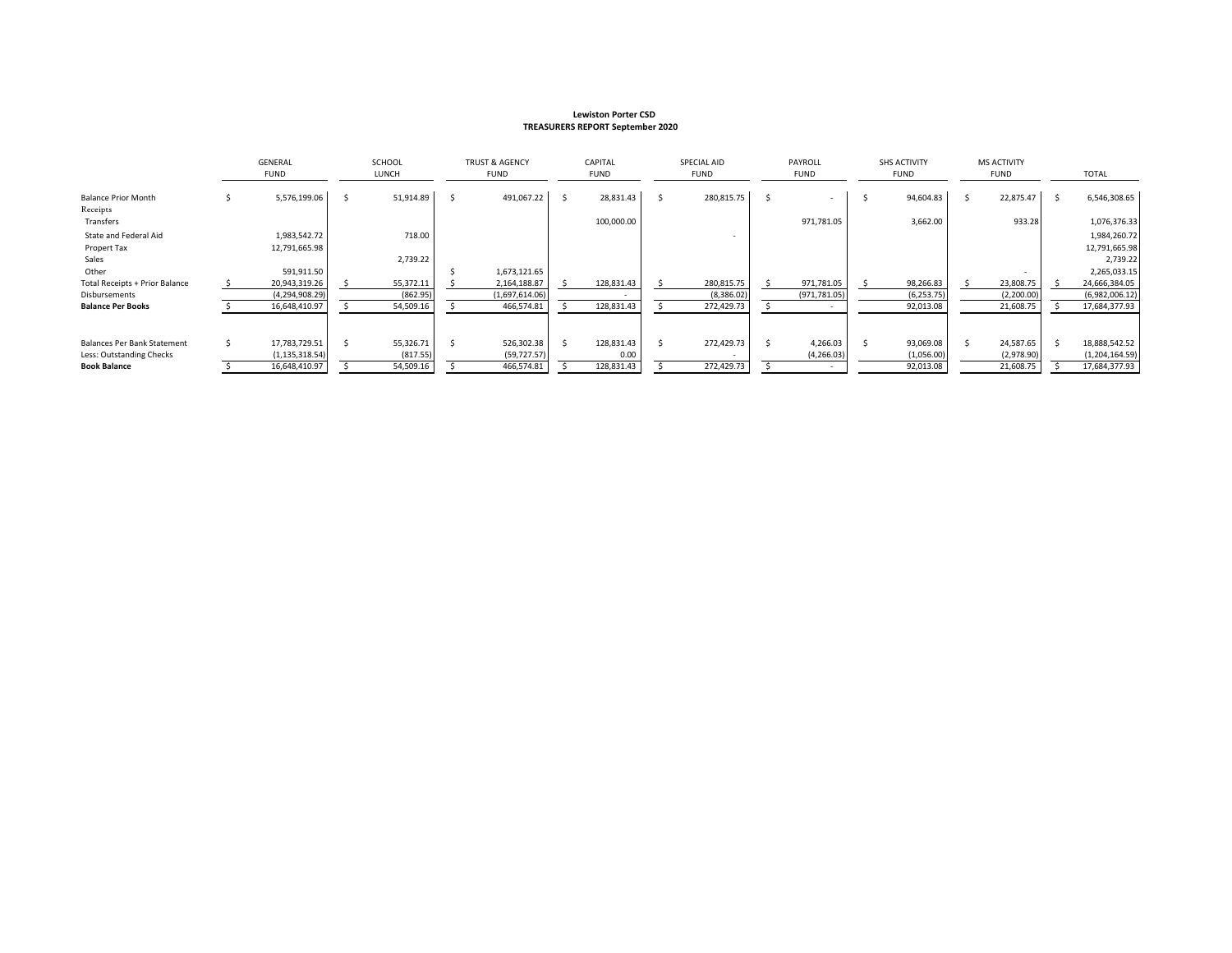#### **Lewiston Porter CSD TREASURERS REPORT September 2020**

|                                        | GENERAL<br><b>FUND</b> |                  | <b>SCHOOL</b><br>LUNCH |           | <b>TRUST &amp; AGENCY</b><br><b>FUND</b> |                | CAPITAL<br><b>FUND</b> |            | SPECIAL AID<br>FUND |  | PAYROLL<br><b>FUND</b> |  | <b>SHS ACTIVITY</b><br><b>FUND</b> |  | <b>MS ACTIVITY</b><br><b>FUND</b> |  | TOTAL          |  |
|----------------------------------------|------------------------|------------------|------------------------|-----------|------------------------------------------|----------------|------------------------|------------|---------------------|--|------------------------|--|------------------------------------|--|-----------------------------------|--|----------------|--|
| <b>Balance Prior Month</b><br>Receipts |                        | 5,576,199.06     |                        | 51,914.89 |                                          | 491,067.22     | Ŝ.                     | 28,831.43  | 280,815.75          |  |                        |  | 94,604.83                          |  | 22,875.47                         |  | 6,546,308.65   |  |
| Transfers                              |                        |                  |                        |           |                                          |                |                        | 100,000.00 |                     |  | 971,781.05             |  | 3,662.00                           |  | 933.28                            |  | 1,076,376.33   |  |
| State and Federal Aid                  |                        | 1,983,542.72     |                        | 718.00    |                                          |                |                        |            |                     |  |                        |  |                                    |  |                                   |  | 1,984,260.72   |  |
| Propert Tax                            |                        | 12,791,665.98    |                        |           |                                          |                |                        |            |                     |  |                        |  |                                    |  |                                   |  | 12,791,665.98  |  |
| Sales                                  |                        |                  |                        | 2,739.22  |                                          |                |                        |            |                     |  |                        |  |                                    |  |                                   |  | 2,739.22       |  |
| Other                                  |                        | 591,911.50       |                        |           |                                          | 1,673,121.65   |                        |            |                     |  |                        |  |                                    |  |                                   |  | 2,265,033.15   |  |
| <b>Total Receipts + Prior Balance</b>  |                        | 20,943,319.26    |                        | 55,372.11 |                                          | 2,164,188.87   |                        | 128,831.43 | 280,815.75          |  | 971,781.05             |  | 98,266.83                          |  | 23,808.75                         |  | 24,666,384.05  |  |
| Disbursements                          |                        | (4,294,908.29)   |                        | (862.95)  |                                          | (1,697,614.06) |                        |            | (8,386.02)          |  | (971, 781.05)          |  | (6, 253.75)                        |  | (2, 200.00)                       |  | (6,982,006.12) |  |
| <b>Balance Per Books</b>               |                        | 16,648,410.97    |                        | 54,509.16 |                                          | 466,574.81     |                        | 128,831.43 | 272,429.73          |  |                        |  | 92,013.08                          |  | 21,608.75                         |  | 17,684,377.93  |  |
|                                        |                        |                  |                        |           |                                          |                |                        |            |                     |  |                        |  |                                    |  |                                   |  |                |  |
| Balances Per Bank Statement            |                        | 17,783,729.51    |                        | 55,326.71 |                                          | 526,302.38     |                        | 128,831.43 | 272,429.73          |  | 4,266.03               |  | 93,069.08                          |  | 24,587.65                         |  | 18,888,542.52  |  |
| Less: Outstanding Checks               |                        | (1, 135, 318.54) |                        | (817.55)  |                                          | (59, 727.57)   |                        | 0.00       |                     |  | (4, 266.03)            |  | (1,056.00)                         |  | (2,978.90)                        |  | (1,204,164.59) |  |
| <b>Book Balance</b>                    |                        | 16,648,410.97    |                        | 54,509.16 |                                          | 466,574.81     |                        | 128,831.43 | 272,429.73          |  |                        |  | 92,013.08                          |  | 21,608.75                         |  | 17,684,377.93  |  |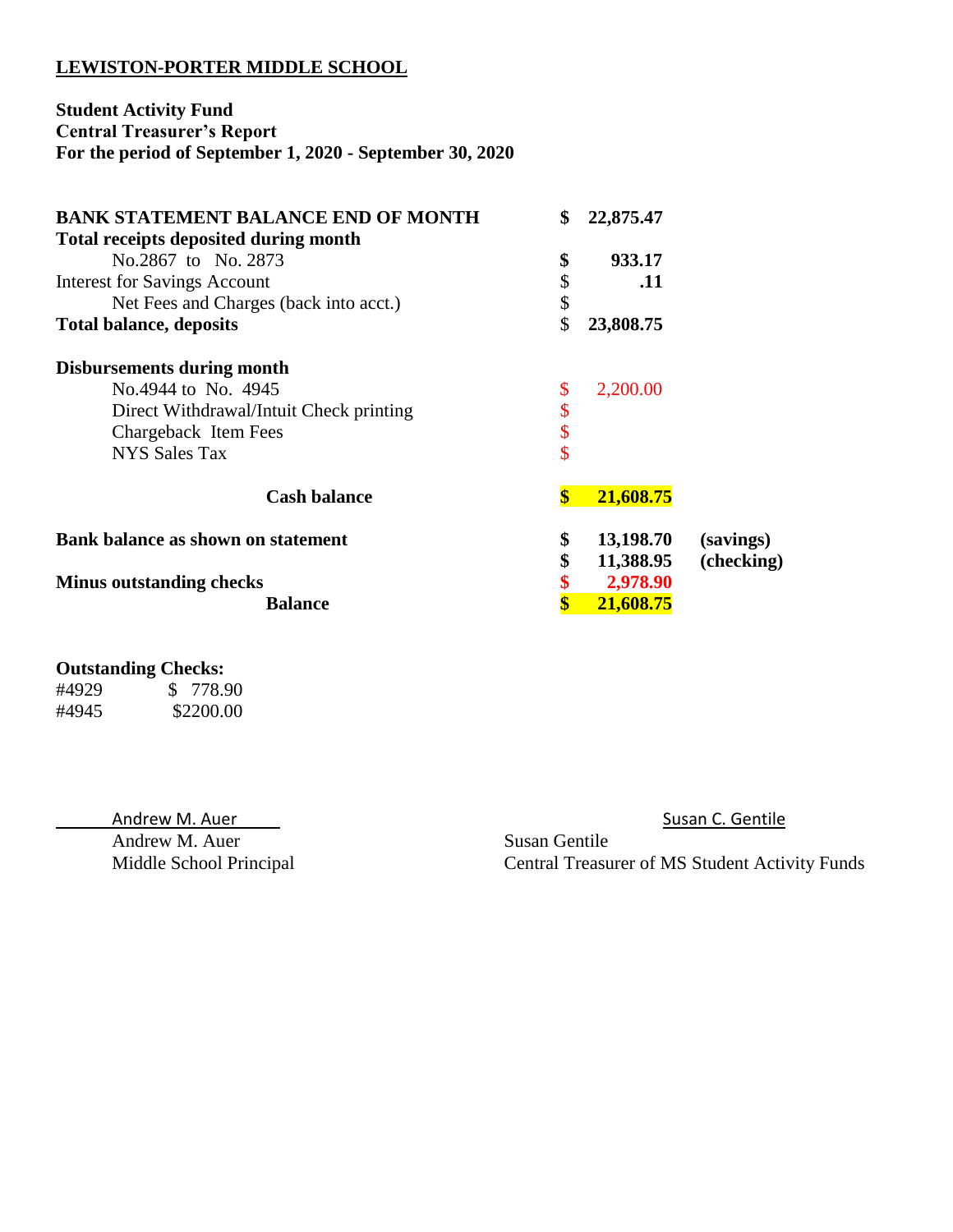# **LEWISTON-PORTER MIDDLE SCHOOL**

# **Student Activity Fund Central Treasurer's Report For the period of September 1, 2020 - September 30, 2020**

| <b>BANK STATEMENT BALANCE END OF MONTH</b><br><b>Total receipts deposited during month</b> | \$                      | 22,875.47 |            |
|--------------------------------------------------------------------------------------------|-------------------------|-----------|------------|
| No.2867 to No. 2873                                                                        | \$                      | 933.17    |            |
| <b>Interest for Savings Account</b>                                                        | \$                      | .11       |            |
| Net Fees and Charges (back into acct.)                                                     | \$                      |           |            |
| <b>Total balance, deposits</b>                                                             | \$                      | 23,808.75 |            |
| Disbursements during month                                                                 |                         |           |            |
| No.4944 to No. 4945                                                                        | \$                      | 2,200.00  |            |
| Direct Withdrawal/Intuit Check printing                                                    | \$                      |           |            |
| Chargeback Item Fees                                                                       | \$                      |           |            |
| <b>NYS Sales Tax</b>                                                                       | \$                      |           |            |
| <b>Cash balance</b>                                                                        | $\boldsymbol{\$}$       | 21,608.75 |            |
| Bank balance as shown on statement                                                         | \$                      | 13,198.70 | (savings)  |
|                                                                                            | \$                      | 11,388.95 | (checking) |
| <b>Minus outstanding checks</b>                                                            | \$                      | 2,978.90  |            |
| <b>Balance</b>                                                                             | $\overline{\mathbf{S}}$ | 21,608.75 |            |

## **Outstanding Checks:**

| #4929 | \$ 778.90 |
|-------|-----------|
| #4945 | \$2200.00 |

Andrew M. Auer Susan C. Gentile Andrew M. Auer

Middle School Principal Central Treasurer of MS Student Activity Funds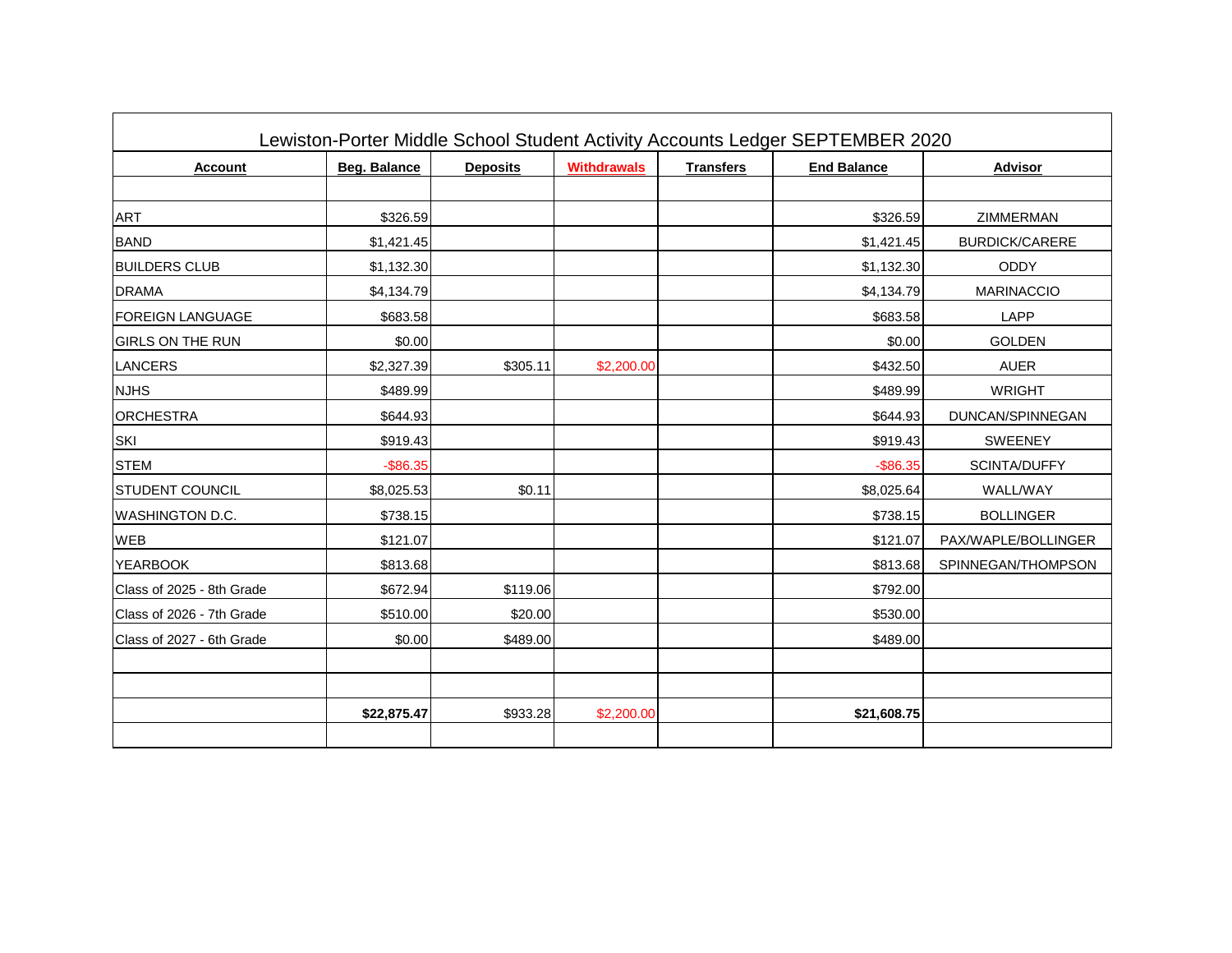|                           |                     |                 |                    |                  | Lewiston-Porter Middle School Student Activity Accounts Ledger SEPTEMBER 2020 |                       |
|---------------------------|---------------------|-----------------|--------------------|------------------|-------------------------------------------------------------------------------|-----------------------|
| <b>Account</b>            | <b>Beg. Balance</b> | <b>Deposits</b> | <b>Withdrawals</b> | <b>Transfers</b> | <b>End Balance</b>                                                            | <b>Advisor</b>        |
|                           |                     |                 |                    |                  |                                                                               |                       |
| <b>ART</b>                | \$326.59            |                 |                    |                  | \$326.59                                                                      | <b>ZIMMERMAN</b>      |
| <b>BAND</b>               | \$1,421.45          |                 |                    |                  | \$1,421.45                                                                    | <b>BURDICK/CARERE</b> |
| <b>BUILDERS CLUB</b>      | \$1,132.30          |                 |                    |                  | \$1,132.30                                                                    | <b>ODDY</b>           |
| <b>DRAMA</b>              | \$4,134.79          |                 |                    |                  | \$4,134.79                                                                    | <b>MARINACCIO</b>     |
| <b>FOREIGN LANGUAGE</b>   | \$683.58            |                 |                    |                  | \$683.58                                                                      | LAPP                  |
| <b>GIRLS ON THE RUN</b>   | \$0.00              |                 |                    |                  | \$0.00                                                                        | <b>GOLDEN</b>         |
| <b>LANCERS</b>            | \$2,327.39          | \$305.11        | \$2,200.00         |                  | \$432.50                                                                      | <b>AUER</b>           |
| <b>NJHS</b>               | \$489.99            |                 |                    |                  | \$489.99                                                                      | <b>WRIGHT</b>         |
| <b>ORCHESTRA</b>          | \$644.93            |                 |                    |                  | \$644.93                                                                      | DUNCAN/SPINNEGAN      |
| <b>SKI</b>                | \$919.43            |                 |                    |                  | \$919.43                                                                      | <b>SWEENEY</b>        |
| <b>STEM</b>               | $-$ \$86.35         |                 |                    |                  | $-$ \$86.35                                                                   | SCINTA/DUFFY          |
| <b>STUDENT COUNCIL</b>    | \$8,025.53          | \$0.11          |                    |                  | \$8,025.64                                                                    | WALL/WAY              |
| WASHINGTON D.C.           | \$738.15            |                 |                    |                  | \$738.15                                                                      | <b>BOLLINGER</b>      |
| <b>WEB</b>                | \$121.07            |                 |                    |                  | \$121.07                                                                      | PAX/WAPLE/BOLLINGER   |
| <b>YEARBOOK</b>           | \$813.68            |                 |                    |                  | \$813.68                                                                      | SPINNEGAN/THOMPSON    |
| Class of 2025 - 8th Grade | \$672.94            | \$119.06        |                    |                  | \$792.00                                                                      |                       |
| Class of 2026 - 7th Grade | \$510.00            | \$20.00         |                    |                  | \$530.00                                                                      |                       |
| Class of 2027 - 6th Grade | \$0.00              | \$489.00        |                    |                  | \$489.00                                                                      |                       |
|                           |                     |                 |                    |                  |                                                                               |                       |
|                           |                     |                 |                    |                  |                                                                               |                       |
|                           | \$22,875.47         | \$933.28        | \$2,200.00         |                  | \$21,608.75                                                                   |                       |
|                           |                     |                 |                    |                  |                                                                               |                       |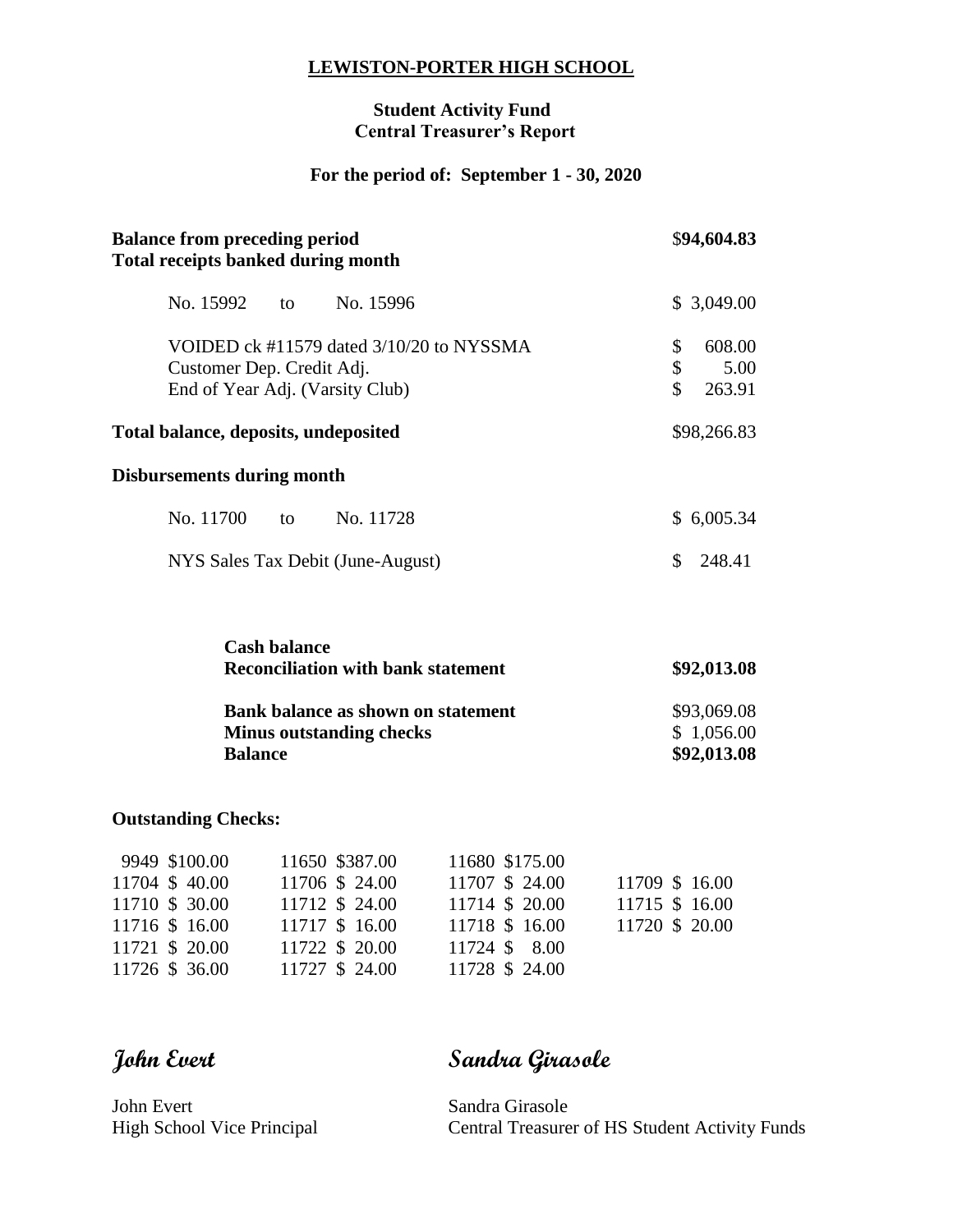### **LEWISTON-PORTER HIGH SCHOOL**

### **Student Activity Fund Central Treasurer's Report**

# **For the period of: September 1 - 30, 2020**

| <b>Balance from preceding period</b><br><b>Total receipts banked during month</b>                        | \$94,604.83                                |  |  |  |  |  |  |  |
|----------------------------------------------------------------------------------------------------------|--------------------------------------------|--|--|--|--|--|--|--|
| No. 15992 to<br>No. 15996                                                                                | \$3,049.00                                 |  |  |  |  |  |  |  |
| VOIDED ck #11579 dated 3/10/20 to NYSSMA<br>Customer Dep. Credit Adj.<br>End of Year Adj. (Varsity Club) | \$<br>608.00<br>\$<br>5.00<br>\$<br>263.91 |  |  |  |  |  |  |  |
| Total balance, deposits, undeposited                                                                     | \$98,266.83                                |  |  |  |  |  |  |  |
| <b>Disbursements during month</b>                                                                        |                                            |  |  |  |  |  |  |  |
| No. 11700<br>No. 11728<br>to                                                                             | \$6,005.34                                 |  |  |  |  |  |  |  |
| NYS Sales Tax Debit (June-August)                                                                        | \$<br>248.41                               |  |  |  |  |  |  |  |
| <b>Cash balance</b><br><b>Reconciliation with bank statement</b>                                         | \$92,013.08                                |  |  |  |  |  |  |  |
| <b>Bank balance as shown on statement</b>                                                                | \$93,069.08                                |  |  |  |  |  |  |  |
| <b>Minus outstanding checks</b><br><b>Balance</b>                                                        | \$1,056.00<br>\$92,013.08                  |  |  |  |  |  |  |  |

# **Outstanding Checks:**

| 9949 \$100.00  | 11650 \$387.00 | 11680 \$175.00 |                |
|----------------|----------------|----------------|----------------|
| 11704 \$40.00  | 11706 \$24.00  | 11707 \$ 24.00 | 11709 \$16.00  |
| 11710 \$ 30.00 | 11712 \$ 24.00 | 11714 \$ 20.00 | 11715 \$ 16.00 |
| 11716 \$16.00  | 11717 \$ 16.00 | 11718 \$ 16.00 | 11720 \$ 20.00 |
| 11721 \$ 20.00 | 11722 \$ 20.00 | 11724 \$ 8.00  |                |
| 11726 \$ 36.00 | 11727 \$ 24.00 | 11728 \$ 24.00 |                |

**John Evert Sandra Girasole**

John Evert Sandra Girasole

High School Vice Principal Central Treasurer of HS Student Activity Funds